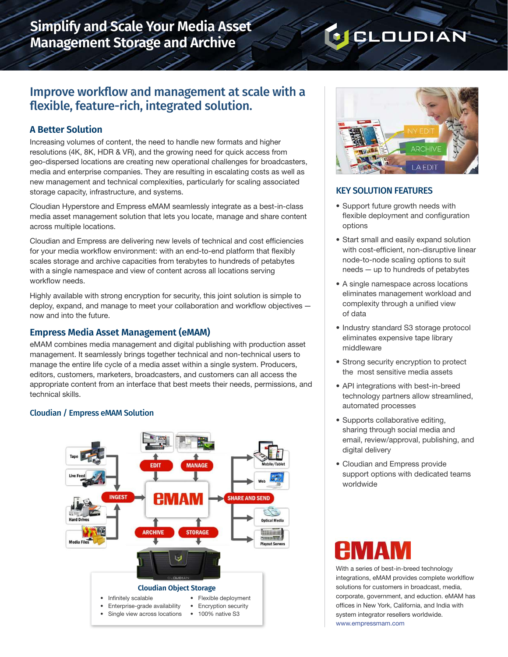# **Simplify and Scale Your Media Asset Management Storage and Archive**

# **J** CLOUDIAN

## Improve workflow and management at scale with a flexible, feature-rich, integrated solution.

### **A Better Solution**

Increasing volumes of content, the need to handle new formats and higher resolutions (4K, 8K, HDR & VR), and the growing need for quick access from geo-dispersed locations are creating new operational challenges for broadcasters, media and enterprise companies. They are resulting in escalating costs as well as new management and technical complexities, particularly for scaling associated storage capacity, infrastructure, and systems.

Cloudian Hyperstore and Empress eMAM seamlessly integrate as a best-in-class media asset management solution that lets you locate, manage and share content across multiple locations.

Cloudian and Empress are delivering new levels of technical and cost efficiencies for your media workflow environment: with an end-to-end platform that flexibly scales storage and archive capacities from terabytes to hundreds of petabytes with a single namespace and view of content across all locations serving workflow needs.

Highly available with strong encryption for security, this joint solution is simple to deploy, expand, and manage to meet your collaboration and workflow objectives now and into the future.

#### **Empress Media Asset Management (eMAM)**

eMAM combines media management and digital publishing with production asset management. It seamlessly brings together technical and non-technical users to manage the entire life cycle of a media asset within a single system. Producers, editors, customers, marketers, broadcasters, and customers can all access the appropriate content from an interface that best meets their needs, permissions, and technical skills.

#### Cloudian / Empress eMAM Solution





#### KEY SOLUTION FEATURES

- Support future growth needs with flexible deployment and configuration options
- Start small and easily expand solution with cost-efficient, non-disruptive linear node-to-node scaling options to suit needs — up to hundreds of petabytes
- A single namespace across locations eliminates management workload and complexity through a unified view of data
- Industry standard S3 storage protocol eliminates expensive tape library middleware
- Strong security encryption to protect the most sensitive media assets
- API integrations with best-in-breed technology partners allow streamlined, automated processes
- Supports collaborative editing, sharing through social media and email, review/approval, publishing, and digital delivery
- Cloudian and Empress provide support options with dedicated teams worldwide

With a series of best-in-breed technology integrations, eMAM provides complete worklflow solutions for customers in broadcast, media, corporate, government, and eduction. eMAM has offices in New York, California, and India with system integrator resellers worldwide. [www.empressmam.com](http://www.empressmam.com  )